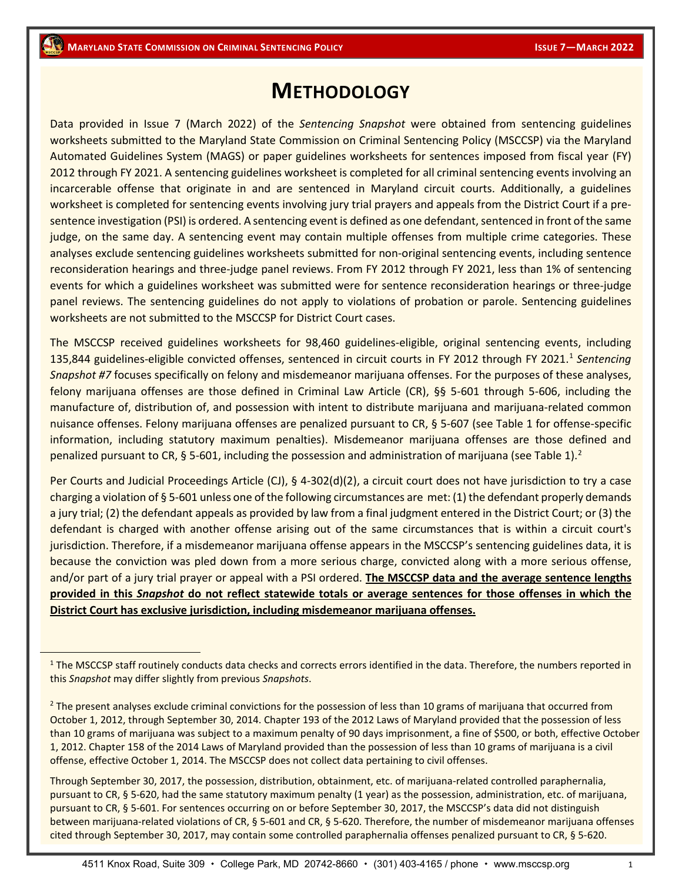# **METHODOLOGY**

Data provided in Issue 7 (March 2022) of the *Sentencing Snapshot* were obtained from sentencing guidelines worksheets submitted to the Maryland State Commission on Criminal Sentencing Policy (MSCCSP) via the Maryland Automated Guidelines System (MAGS) or paper guidelines worksheets for sentences imposed from fiscal year (FY) 2012 through FY 2021. A sentencing guidelines worksheet is completed for all criminal sentencing events involving an incarcerable offense that originate in and are sentenced in Maryland circuit courts. Additionally, a guidelines worksheet is completed for sentencing events involving jury trial prayers and appeals from the District Court if a presentence investigation (PSI) is ordered. A sentencing event is defined as one defendant, sentenced in front of the same judge, on the same day. A sentencing event may contain multiple offenses from multiple crime categories. These analyses exclude sentencing guidelines worksheets submitted for non-original sentencing events, including sentence reconsideration hearings and three-judge panel reviews. From FY 2012 through FY 2021, less than 1% of sentencing events for which a guidelines worksheet was submitted were for sentence reconsideration hearings or three-judge panel reviews. The sentencing guidelines do not apply to violations of probation or parole. Sentencing guidelines worksheets are not submitted to the MSCCSP for District Court cases.

The MSCCSP received guidelines worksheets for 98,460 guidelines-eligible, original sentencing events, including [1](#page-0-0)35,844 guidelines-eligible convicted offenses, sentenced in circuit courts in FY 2012 through FY 2021.<sup>1</sup> Sentencing *Snapshot #7* focuses specifically on felony and misdemeanor marijuana offenses. For the purposes of these analyses, felony marijuana offenses are those defined in Criminal Law Article (CR), §§ 5-601 through 5-606, including the manufacture of, distribution of, and possession with intent to distribute marijuana and marijuana-related common nuisance offenses. Felony marijuana offenses are penalized pursuant to CR, § 5-607 (see Table 1 for offense-specific information, including statutory maximum penalties). Misdemeanor marijuana offenses are those defined and penalized pursuant to CR, § 5-601, including the possession and administration of marijuana (see Table 1).<sup>[2](#page-0-1)</sup>

Per Courts and Judicial Proceedings Article (CJ), § 4-302(d)(2), a circuit court does not have jurisdiction to try a case charging a violation of § 5-601 unless one of the following circumstances are met: (1) the defendant properly demands a jury trial; (2) the defendant appeals as provided by law from a final judgment entered in the District Court; or (3) the defendant is charged with another offense arising out of the same circumstances that is within a circuit court's jurisdiction. Therefore, if a misdemeanor marijuana offense appears in the MSCCSP's sentencing guidelines data, it is because the conviction was pled down from a more serious charge, convicted along with a more serious offense, and/or part of a jury trial prayer or appeal with a PSI ordered. **The MSCCSP data and the average sentence lengths provided in this** *Snapshot* **do not reflect statewide totals or average sentences for those offenses in which the District Court has exclusive jurisdiction, including misdemeanor marijuana offenses.**

Through September 30, 2017, the possession, distribution, obtainment, etc. of marijuana-related controlled paraphernalia, pursuant to CR, § 5-620, had the same statutory maximum penalty (1 year) as the possession, administration, etc. of marijuana, pursuant to CR, § 5-601. For sentences occurring on or before September 30, 2017, the MSCCSP's data did not distinguish between marijuana-related violations of CR, § 5-601 and CR, § 5-620. Therefore, the number of misdemeanor marijuana offenses cited through September 30, 2017, may contain some controlled paraphernalia offenses penalized pursuant to CR, § 5-620.

<span id="page-0-0"></span><sup>&</sup>lt;sup>1</sup> The MSCCSP staff routinely conducts data checks and corrects errors identified in the data. Therefore, the numbers reported in this *Snapshot* may differ slightly from previous *Snapshots*.

<span id="page-0-1"></span> $<sup>2</sup>$  The present analyses exclude criminal convictions for the possession of less than 10 grams of marijuana that occurred from</sup> October 1, 2012, through September 30, 2014. Chapter 193 of the 2012 Laws of Maryland provided that the possession of less than 10 grams of marijuana was subject to a maximum penalty of 90 days imprisonment, a fine of \$500, or both, effective October 1, 2012. Chapter 158 of the 2014 Laws of Maryland provided than the possession of less than 10 grams of marijuana is a civil offense, effective October 1, 2014. The MSCCSP does not collect data pertaining to civil offenses.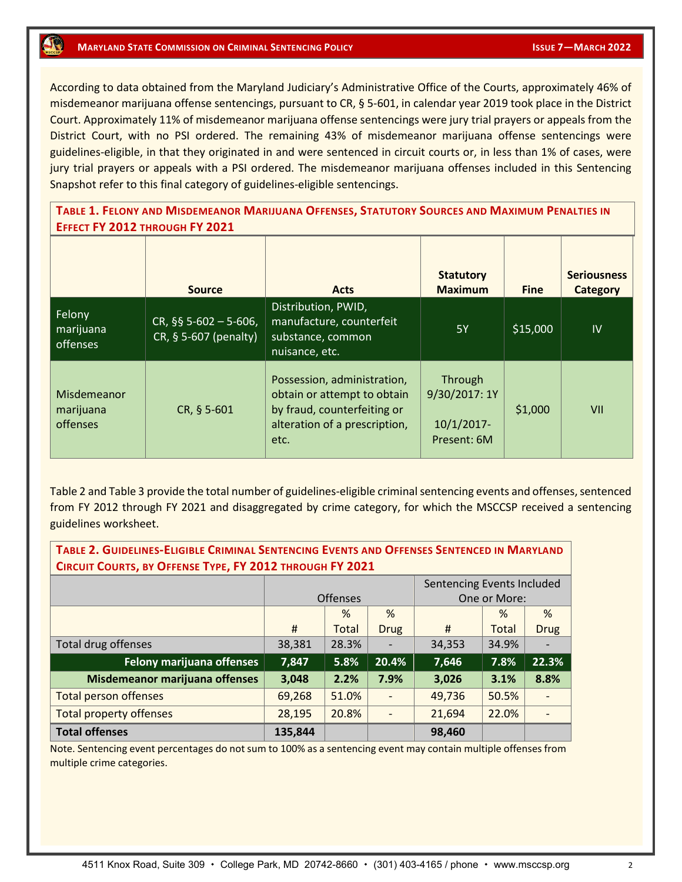### **MARYLAND STATE COMMISSION ON CRIMINAL SENTENCING POLICY ISSUE 7 AND ISSUE 7-MARCH 2022**

According to data obtained from the Maryland Judiciary's Administrative Office of the Courts, approximately 46% of misdemeanor marijuana offense sentencings, pursuant to CR, § 5-601, in calendar year 2019 took place in the District Court. Approximately 11% of misdemeanor marijuana offense sentencings were jury trial prayers or appeals from the District Court, with no PSI ordered. The remaining 43% of misdemeanor marijuana offense sentencings were guidelines-eligible, in that they originated in and were sentenced in circuit courts or, in less than 1% of cases, were jury trial prayers or appeals with a PSI ordered. The misdemeanor marijuana offenses included in this Sentencing Snapshot refer to this final category of guidelines-eligible sentencings.

**TABLE 1. FELONY AND MISDEMEANOR MARIJUANA OFFENSES, STATUTORY SOURCES AND MAXIMUM PENALTIES IN EFFECT FY 2012 THROUGH FY 2021**

|                                             | <b>Source</b>                                    | <b>Acts</b>                                                                                                                        | <b>Statutory</b><br><b>Maximum</b>                       | <b>Fine</b> | <b>Seriousness</b><br><b>Category</b> |
|---------------------------------------------|--------------------------------------------------|------------------------------------------------------------------------------------------------------------------------------------|----------------------------------------------------------|-------------|---------------------------------------|
| Felony<br>marijuana<br>offenses             | $CR,$ §§ 5-602 - 5-606,<br>CR, § 5-607 (penalty) | Distribution, PWID,<br>manufacture, counterfeit<br>substance, common<br>nuisance, etc.                                             | <b>5Y</b>                                                | \$15,000    | IV                                    |
| Misdemeanor<br>marijuana<br><i>offenses</i> | CR, § 5-601                                      | Possession, administration,<br>obtain or attempt to obtain<br>by fraud, counterfeiting or<br>alteration of a prescription,<br>etc. | Through<br>9/30/2017: 1Y<br>$10/1/2017$ -<br>Present: 6M | \$1,000     | VII                                   |

Table 2 and Table 3 provide the total number of guidelines-eligible criminal sentencing events and offenses, sentenced from FY 2012 through FY 2021 and disaggregated by crime category, for which the MSCCSP received a sentencing guidelines worksheet.

| TABLE 2. GUIDELINES-ELIGIBLE CRIMINAL SENTENCING EVENTS AND OFFENSES SENTENCED IN MARYLAND<br>CIRCUIT COURTS, BY OFFENSE TYPE, FY 2012 THROUGH FY 2021 |                            |                 |             |              |       |               |  |  |  |  |  |
|--------------------------------------------------------------------------------------------------------------------------------------------------------|----------------------------|-----------------|-------------|--------------|-------|---------------|--|--|--|--|--|
|                                                                                                                                                        | Sentencing Events Included |                 |             |              |       |               |  |  |  |  |  |
|                                                                                                                                                        |                            | <b>Offenses</b> |             | One or More: |       |               |  |  |  |  |  |
|                                                                                                                                                        |                            | $\%$            | %           |              | $\%$  | $\frac{9}{6}$ |  |  |  |  |  |
|                                                                                                                                                        | #                          | <b>Total</b>    | <b>Drug</b> | #            | Total | <b>Drug</b>   |  |  |  |  |  |
| Total drug offenses                                                                                                                                    | 38,381                     | 28.3%           |             | 34,353       | 34.9% |               |  |  |  |  |  |
| <b>Felony marijuana offenses</b>                                                                                                                       | 7,847                      | 5.8%            | 20.4%       | 7,646        | 7.8%  | 22.3%         |  |  |  |  |  |
| Misdemeanor marijuana offenses                                                                                                                         | 3,048                      | 2.2%            | 7.9%        | 3,026        | 3.1%  | 8.8%          |  |  |  |  |  |
| <b>Total person offenses</b>                                                                                                                           | 69,268                     | 51.0%           |             | 49,736       | 50.5% |               |  |  |  |  |  |
| <b>Total property offenses</b>                                                                                                                         | 28,195                     | 20.8%           |             | 21,694       | 22.0% |               |  |  |  |  |  |
| <b>Total offenses</b>                                                                                                                                  | 135,844                    |                 |             | 98,460       |       |               |  |  |  |  |  |

Note. Sentencing event percentages do not sum to 100% as a sentencing event may contain multiple offenses from multiple crime categories.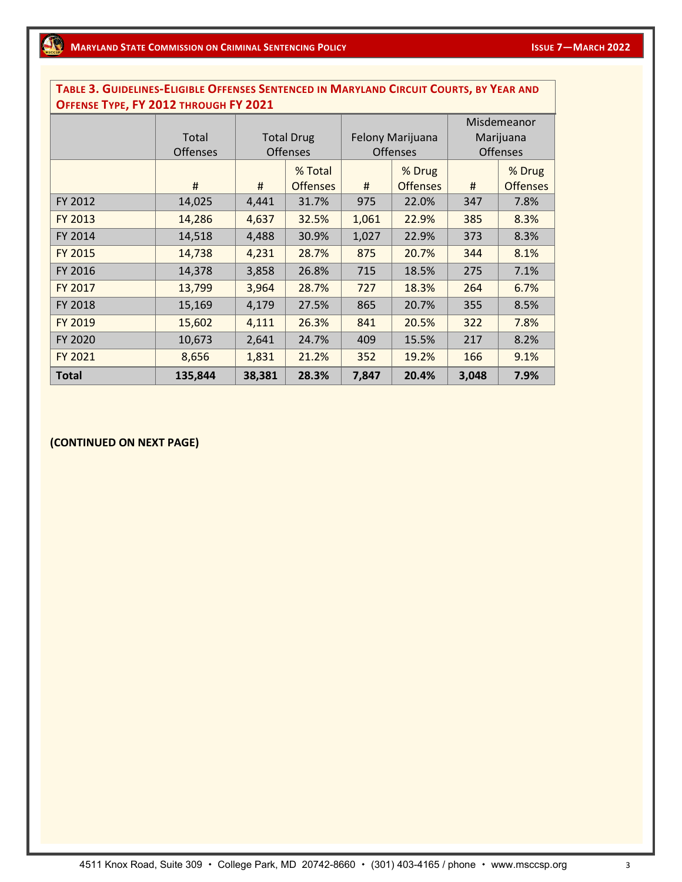### **TABLE 3. GUIDELINES-ELIGIBLE OFFENSES SENTENCED IN MARYLAND CIRCUIT COURTS, BY YEAR AND OFFENSE TYPE, FY 2012 THROUGH FY 2021**

|              |                 |         |                   |       |                  | Misdemeanor     |                 |  |  |
|--------------|-----------------|---------|-------------------|-------|------------------|-----------------|-----------------|--|--|
|              | Total           |         | <b>Total Drug</b> |       | Felony Marijuana | Marijuana       |                 |  |  |
|              | <b>Offenses</b> |         | <b>Offenses</b>   |       | <b>Offenses</b>  | <b>Offenses</b> |                 |  |  |
|              |                 | % Total |                   |       | % Drug           |                 | % Drug          |  |  |
|              | #               | #       | <b>Offenses</b>   | #     | <b>Offenses</b>  | #               | <b>Offenses</b> |  |  |
| FY 2012      | 14,025          | 4,441   | 31.7%             | 975   | 22.0%            | 347             | 7.8%            |  |  |
| FY 2013      | 14,286          | 4,637   | 32.5%             | 1,061 | 22.9%            | 385             | 8.3%            |  |  |
| FY 2014      | 14,518          | 4,488   | 30.9%             | 1,027 | 22.9%            | 373             | 8.3%            |  |  |
| FY 2015      | 14,738          | 4,231   | 28.7%             | 875   | 20.7%            | 344             | 8.1%            |  |  |
| FY 2016      | 14,378          | 3,858   | 26.8%             | 715   | 18.5%            | 275             | 7.1%            |  |  |
| FY 2017      | 13,799          | 3,964   | 28.7%             | 727   | 18.3%            | 264             | 6.7%            |  |  |
| FY 2018      | 15,169          | 4,179   | 27.5%             | 865   | 20.7%            | 355             | 8.5%            |  |  |
| FY 2019      | 15,602          | 4,111   | 26.3%             | 841   | 20.5%            | 322             | 7.8%            |  |  |
| FY 2020      | 10,673          | 2,641   | 24.7%             | 409   | 15.5%            | 217             | 8.2%            |  |  |
| FY 2021      | 8,656           | 1,831   | 21.2%             | 352   | 19.2%            | 166             | 9.1%            |  |  |
| <b>Total</b> | 135,844         | 38,381  | 28.3%             | 7,847 | 20.4%            | 3,048           | 7.9%            |  |  |

#### **(CONTINUED ON NEXT PAGE)**

4511 Knox Road, Suite 309 · College Park, MD 20742-8660 · (301) 403-4165 / phone · www.msccsp.org 3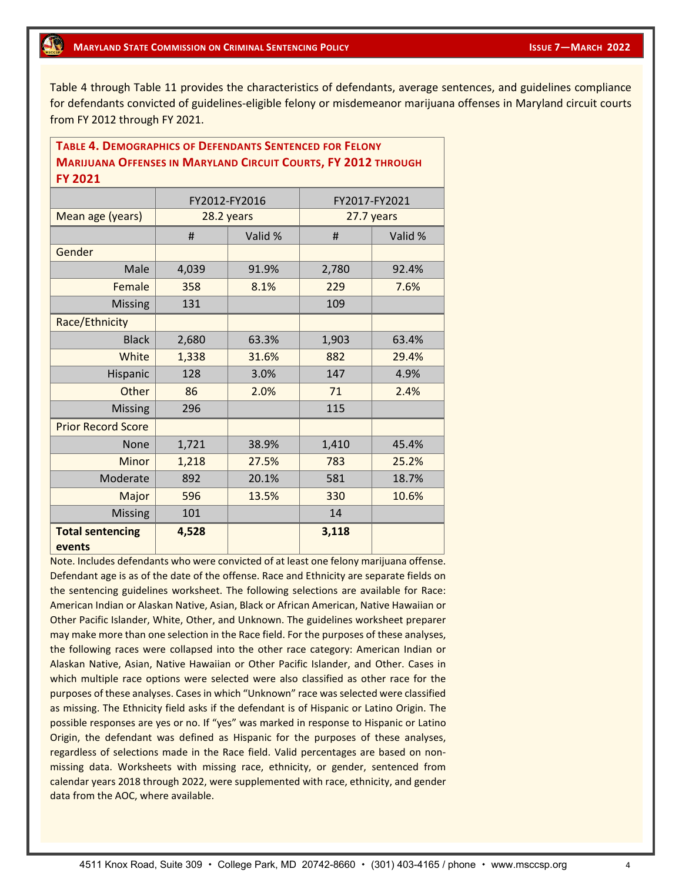Table 4 through Table 11 provides the characteristics of defendants, average sentences, and guidelines compliance for defendants convicted of guidelines-eligible felony or misdemeanor marijuana offenses in Maryland circuit courts from FY 2012 through FY 2021.

#### **TABLE 4. DEMOGRAPHICS OF DEFENDANTS SENTENCED FOR FELONY MARIJUANA OFFENSES IN MARYLAND CIRCUIT COURTS, FY 2012 THROUGH FY 2021**

|                                   |       | FY2012-FY2016 | FY2017-FY2021 |            |  |  |
|-----------------------------------|-------|---------------|---------------|------------|--|--|
| Mean age (years)                  |       | 28.2 years    |               | 27.7 years |  |  |
|                                   | #     | Valid %       | #             | Valid %    |  |  |
| Gender                            |       |               |               |            |  |  |
| Male                              | 4,039 | 91.9%         | 2,780         | 92.4%      |  |  |
| Female                            | 358   | 8.1%          | 229           | 7.6%       |  |  |
| <b>Missing</b>                    | 131   |               | 109           |            |  |  |
| Race/Ethnicity                    |       |               |               |            |  |  |
| <b>Black</b>                      | 2,680 | 63.3%         | 1,903         | 63.4%      |  |  |
| White                             | 1,338 | 31.6%         | 882           | 29.4%      |  |  |
| Hispanic                          | 128   | 3.0%          | 147           | 4.9%       |  |  |
| Other                             | 86    | 2.0%          | 71            | 2.4%       |  |  |
| <b>Missing</b>                    | 296   |               | 115           |            |  |  |
| <b>Prior Record Score</b>         |       |               |               |            |  |  |
| <b>None</b>                       | 1,721 | 38.9%         | 1,410         | 45.4%      |  |  |
| Minor                             | 1,218 | 27.5%         | 783           | 25.2%      |  |  |
| Moderate                          | 892   | 20.1%         | 581           | 18.7%      |  |  |
| Major                             | 596   | 13.5%         | 330           | 10.6%      |  |  |
| <b>Missing</b>                    | 101   |               | 14            |            |  |  |
| <b>Total sentencing</b><br>events | 4,528 |               | 3,118         |            |  |  |

Note. Includes defendants who were convicted of at least one felony marijuana offense. Defendant age is as of the date of the offense. Race and Ethnicity are separate fields on the sentencing guidelines worksheet. The following selections are available for Race: American Indian or Alaskan Native, Asian, Black or African American, Native Hawaiian or Other Pacific Islander, White, Other, and Unknown. The guidelines worksheet preparer may make more than one selection in the Race field. For the purposes of these analyses, the following races were collapsed into the other race category: American Indian or Alaskan Native, Asian, Native Hawaiian or Other Pacific Islander, and Other. Cases in which multiple race options were selected were also classified as other race for the purposes of these analyses. Cases in which "Unknown" race was selected were classified as missing. The Ethnicity field asks if the defendant is of Hispanic or Latino Origin. The possible responses are yes or no. If "yes" was marked in response to Hispanic or Latino Origin, the defendant was defined as Hispanic for the purposes of these analyses, regardless of selections made in the Race field. Valid percentages are based on nonmissing data. Worksheets with missing race, ethnicity, or gender, sentenced from calendar years 2018 through 2022, were supplemented with race, ethnicity, and gender data from the AOC, where available.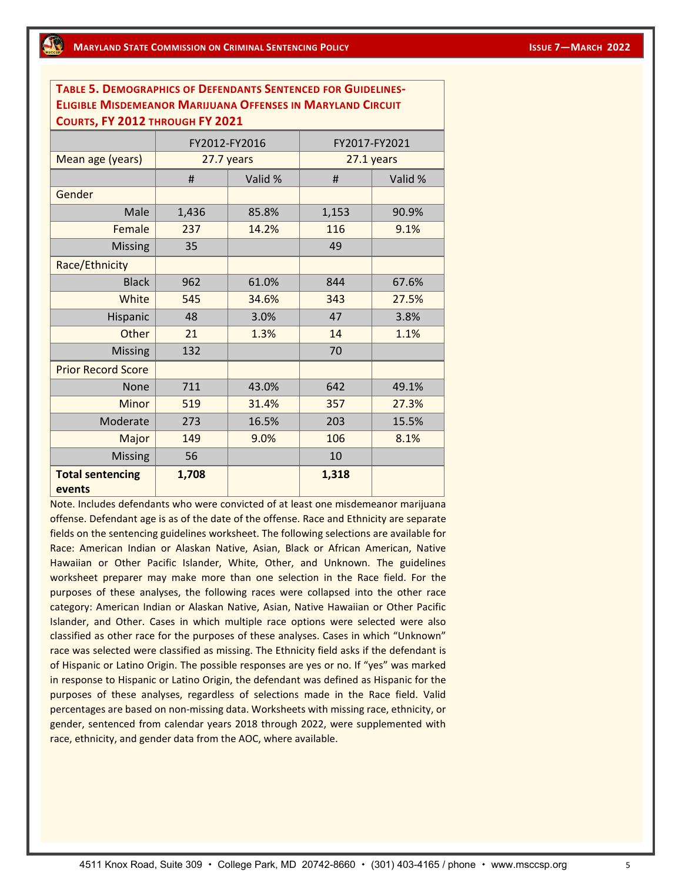| <b>TABLE 5. DEMOGRAPHICS OF DEFENDANTS SENTENCED FOR GUIDELINES-</b> |            |               |               |         |  |  |  |  |  |  |  |
|----------------------------------------------------------------------|------------|---------------|---------------|---------|--|--|--|--|--|--|--|
| <b>ELIGIBLE MISDEMEANOR MARIJUANA OFFENSES IN MARYLAND CIRCUIT</b>   |            |               |               |         |  |  |  |  |  |  |  |
| COURTS, FY 2012 THROUGH FY 2021                                      |            |               |               |         |  |  |  |  |  |  |  |
|                                                                      |            | FY2012-FY2016 | FY2017-FY2021 |         |  |  |  |  |  |  |  |
| Mean age (years)                                                     | 27.7 years |               | 27.1 years    |         |  |  |  |  |  |  |  |
|                                                                      | #          | Valid %       | #             | Valid % |  |  |  |  |  |  |  |
| Gender                                                               |            |               |               |         |  |  |  |  |  |  |  |
| Male                                                                 | 1,436      | 85.8%         | 1,153         | 90.9%   |  |  |  |  |  |  |  |
| Female                                                               | 237        | 14.2%         | 116           | 9.1%    |  |  |  |  |  |  |  |
| <b>Missing</b>                                                       | 35         |               | 49            |         |  |  |  |  |  |  |  |
| Race/Ethnicity                                                       |            |               |               |         |  |  |  |  |  |  |  |
| <b>Black</b>                                                         | 962        | 61.0%         | 844           | 67.6%   |  |  |  |  |  |  |  |
| White                                                                | 545        | 34.6%         | 343           | 27.5%   |  |  |  |  |  |  |  |
| Hispanic                                                             | 48         | 3.0%          | 47            | 3.8%    |  |  |  |  |  |  |  |
| Other                                                                | 21         | 1.3%          | 14            | 1.1%    |  |  |  |  |  |  |  |
| <b>Missing</b>                                                       | 132        |               | 70            |         |  |  |  |  |  |  |  |
| <b>Prior Record Score</b>                                            |            |               |               |         |  |  |  |  |  |  |  |
| None                                                                 | 711        | 43.0%         | 642           | 49.1%   |  |  |  |  |  |  |  |
| <b>Minor</b>                                                         | 519        | 31.4%         | 357           | 27.3%   |  |  |  |  |  |  |  |
| Moderate                                                             | 273        | 16.5%         | 203           | 15.5%   |  |  |  |  |  |  |  |
| Major                                                                | 149        | 9.0%          | 106           | 8.1%    |  |  |  |  |  |  |  |
| <b>Missing</b>                                                       | 56         |               | 10            |         |  |  |  |  |  |  |  |
| <b>Total sentencing</b><br>events                                    | 1,708      |               | 1,318         |         |  |  |  |  |  |  |  |

Note. Includes defendants who were convicted of at least one misdemeanor marijuana offense. Defendant age is as of the date of the offense. Race and Ethnicity are separate fields on the sentencing guidelines worksheet. The following selections are available for Race: American Indian or Alaskan Native, Asian, Black or African American, Native Hawaiian or Other Pacific Islander, White, Other, and Unknown. The guidelines worksheet preparer may make more than one selection in the Race field. For the purposes of these analyses, the following races were collapsed into the other race category: American Indian or Alaskan Native, Asian, Native Hawaiian or Other Pacific Islander, and Other. Cases in which multiple race options were selected were also classified as other race for the purposes of these analyses. Cases in which "Unknown" race was selected were classified as missing. The Ethnicity field asks if the defendant is of Hispanic or Latino Origin. The possible responses are yes or no. If "yes" was marked in response to Hispanic or Latino Origin, the defendant was defined as Hispanic for the purposes of these analyses, regardless of selections made in the Race field. Valid percentages are based on non-missing data. Worksheets with missing race, ethnicity, or gender, sentenced from calendar years 2018 through 2022, were supplemented with race, ethnicity, and gender data from the AOC, where available.

4511 Knox Road, Suite 309 · College Park, MD 20742-8660 · (301) 403-4165 / phone · www.msccsp.org 5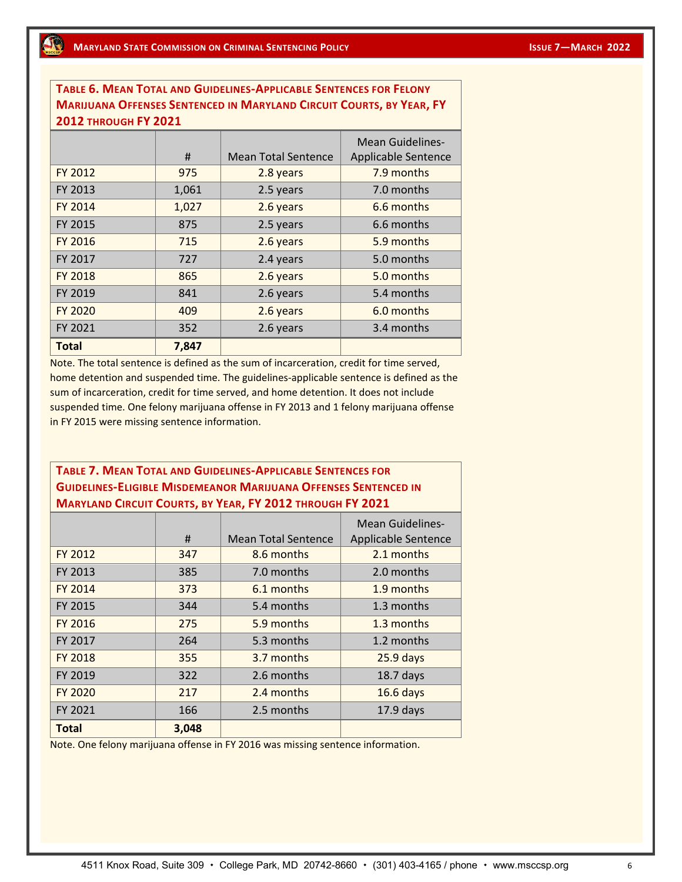**TABLE 6. MEAN TOTAL AND GUIDELINES-APPLICABLE SENTENCES FOR FELONY MARIJUANA OFFENSES SENTENCED IN MARYLAND CIRCUIT COURTS, BY YEAR, FY 2012 THROUGH FY 2021**

|                | #     | <b>Mean Total Sentence</b> | <b>Mean Guidelines-</b><br><b>Applicable Sentence</b> |
|----------------|-------|----------------------------|-------------------------------------------------------|
| FY 2012        | 975   | 2.8 years                  | 7.9 months                                            |
| FY 2013        | 1,061 | 2.5 years                  | 7.0 months                                            |
| FY 2014        | 1,027 | 2.6 years                  | 6.6 months                                            |
| FY 2015        | 875   | 2.5 years                  | 6.6 months                                            |
| FY 2016        | 715   | 2.6 years                  | 5.9 months                                            |
| FY 2017        | 727   | 2.4 years                  | 5.0 months                                            |
| <b>FY 2018</b> | 865   | 2.6 years                  | 5.0 months                                            |
| FY 2019        | 841   | 2.6 years                  | 5.4 months                                            |
| <b>FY 2020</b> | 409   | 2.6 years                  | 6.0 months                                            |
| FY 2021        | 352   | 2.6 years                  | 3.4 months                                            |
| <b>Total</b>   | 7,847 |                            |                                                       |

Note. The total sentence is defined as the sum of incarceration, credit for time served, home detention and suspended time. The guidelines-applicable sentence is defined as the sum of incarceration, credit for time served, and home detention. It does not include suspended time. One felony marijuana offense in FY 2013 and 1 felony marijuana offense in FY 2015 were missing sentence information.

### **TABLE 7. MEAN TOTAL AND GUIDELINES-APPLICABLE SENTENCES FOR GUIDELINES-ELIGIBLE MISDEMEANOR MARIJUANA OFFENSES SENTENCED IN MARYLAND CIRCUIT COURTS, BY YEAR, FY 2012 THROUGH FY 2021**

|              |       |                            | Mean Guidelines-    |
|--------------|-------|----------------------------|---------------------|
|              | #     | <b>Mean Total Sentence</b> | Applicable Sentence |
| FY 2012      | 347   | 8.6 months                 | 2.1 months          |
| FY 2013      | 385   | 7.0 months                 | 2.0 months          |
| FY 2014      | 373   | 6.1 months                 | 1.9 months          |
| FY 2015      | 344   | 5.4 months                 | 1.3 months          |
| FY 2016      | 275   | 5.9 months                 | 1.3 months          |
| FY 2017      | 264   | 5.3 months                 | 1.2 months          |
| FY 2018      | 355   | 3.7 months                 | $25.9$ days         |
| FY 2019      | 322   | 2.6 months                 | $18.7$ days         |
| FY 2020      | 217   | 2.4 months                 | $16.6$ days         |
| FY 2021      | 166   | 2.5 months                 | $17.9$ days         |
| <b>Total</b> | 3,048 |                            |                     |

Note. One felony marijuana offense in FY 2016 was missing sentence information.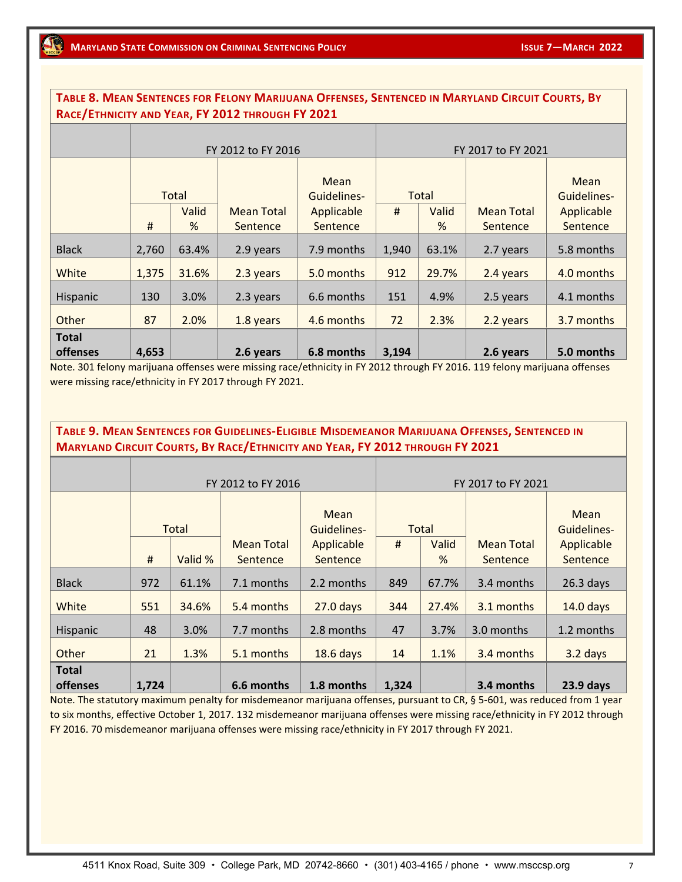#### **TABLE 8. MEAN SENTENCES FOR FELONY MARIJUANA OFFENSES, SENTENCED IN MARYLAND CIRCUIT COURTS, BY RACE/ETHNICITY AND YEAR, FY 2012 THROUGH FY 2021**

|                                 |                                                           |       | FY 2012 to FY 2016     |                              | FY 2017 to FY 2021 |                               |                        |                     |  |  |
|---------------------------------|-----------------------------------------------------------|-------|------------------------|------------------------------|--------------------|-------------------------------|------------------------|---------------------|--|--|
|                                 | Total<br>Valid<br><b>Mean Total</b><br>#<br>%<br>Sentence |       |                        | Mean<br>Total<br>Guidelines- |                    |                               |                        | Mean<br>Guidelines- |  |  |
|                                 |                                                           |       | Applicable<br>Sentence | #                            | Valid<br>%         | <b>Mean Total</b><br>Sentence | Applicable<br>Sentence |                     |  |  |
| <b>Black</b>                    | 2,760                                                     | 63.4% | 2.9 years              | 7.9 months                   | 1,940              | 63.1%                         | 2.7 years              | 5.8 months          |  |  |
| White                           | 1,375                                                     | 31.6% | 2.3 years              | 5.0 months                   | 912                | 29.7%                         | 2.4 years              | 4.0 months          |  |  |
| Hispanic                        | 130                                                       | 3.0%  | 2.3 years              | 6.6 months                   | 151                | 4.9%                          | 2.5 years              | 4.1 months          |  |  |
| Other                           | 87                                                        | 2.0%  | 1.8 years              | 4.6 months                   | 72                 | 2.3%                          | 2.2 years              | 3.7 months          |  |  |
| <b>Total</b><br><b>offenses</b> | 4,653                                                     |       | 2.6 years              | 6.8 months                   | 3,194              |                               | 2.6 years              | 5.0 months          |  |  |

Note. 301 felony marijuana offenses were missing race/ethnicity in FY 2012 through FY 2016. 119 felony marijuana offenses were missing race/ethnicity in FY 2017 through FY 2021.

## **TABLE 9. MEAN SENTENCES FOR GUIDELINES-ELIGIBLE MISDEMEANOR MARIJUANA OFFENSES, SENTENCED IN MARYLAND CIRCUIT COURTS, BY RACE/ETHNICITY AND YEAR, FY 2012 THROUGH FY 2021**

|                                 |              |         | FY 2012 to FY 2016            |                        | FY 2017 to FY 2021 |            |                               |                        |  |  |
|---------------------------------|--------------|---------|-------------------------------|------------------------|--------------------|------------|-------------------------------|------------------------|--|--|
|                                 | <b>Total</b> |         |                               | Mean<br>Guidelines-    |                    | Total      |                               | Mean<br>Guidelines-    |  |  |
|                                 | #            | Valid % | <b>Mean Total</b><br>Sentence | Applicable<br>Sentence | #                  | Valid<br>% | <b>Mean Total</b><br>Sentence | Applicable<br>Sentence |  |  |
| <b>Black</b>                    | 972          | 61.1%   | 7.1 months                    | 2.2 months             | 849                | 67.7%      | 3.4 months                    | $26.3$ days            |  |  |
| White                           | 551          | 34.6%   | 5.4 months                    | $27.0$ days            | 344                | 27.4%      | 3.1 months                    | $14.0$ days            |  |  |
| Hispanic                        | 48           | 3.0%    | 7.7 months                    | 2.8 months             | 47                 | 3.7%       | 3.0 months                    | 1.2 months             |  |  |
| Other                           | 21           | 1.3%    | 5.1 months                    | 18.6 days              | 14                 | 1.1%       | 3.4 months                    | 3.2 days               |  |  |
| <b>Total</b><br><b>offenses</b> | 1,724        |         | 6.6 months                    | 1.8 months             | 1,324              |            | 3.4 months                    | 23.9 days              |  |  |

Note. The statutory maximum penalty for misdemeanor marijuana offenses, pursuant to CR, § 5-601, was reduced from 1 year to six months, effective October 1, 2017. 132 misdemeanor marijuana offenses were missing race/ethnicity in FY 2012 through FY 2016. 70 misdemeanor marijuana offenses were missing race/ethnicity in FY 2017 through FY 2021.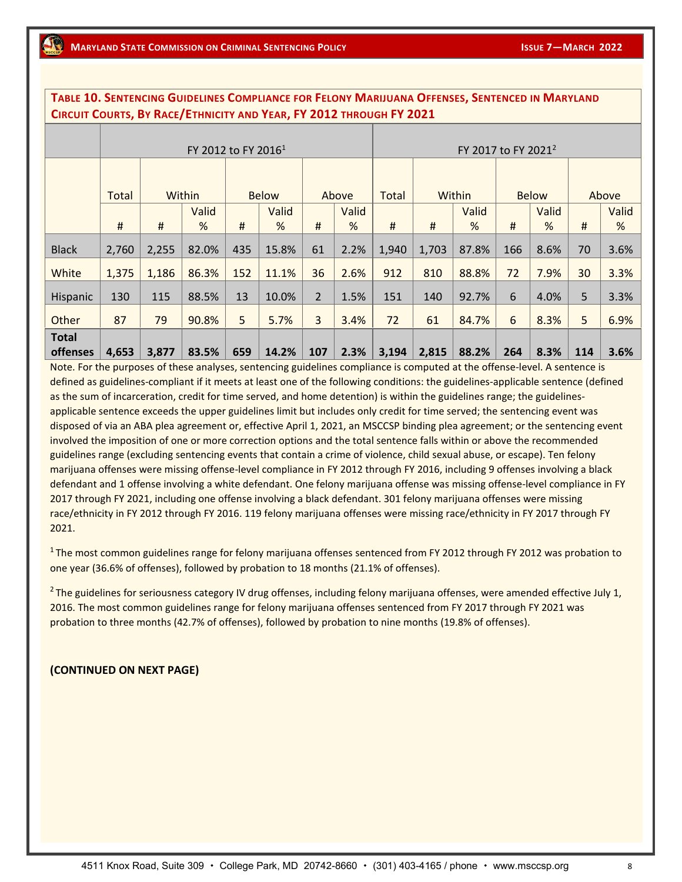|              | CIRCUIT COURTS, BY RACE/ETHNICITY AND YEAR, FY 2012 THROUGH FY 2021 |          |                                 |     |                       |                |       |                                 |          |        |     |              |       |       |
|--------------|---------------------------------------------------------------------|----------|---------------------------------|-----|-----------------------|----------------|-------|---------------------------------|----------|--------|-----|--------------|-------|-------|
|              |                                                                     |          |                                 |     |                       |                |       | FY 2017 to FY 2021 <sup>2</sup> |          |        |     |              |       |       |
|              |                                                                     |          | FY 2012 to FY 2016 <sup>1</sup> |     |                       |                |       |                                 |          |        |     |              |       |       |
|              |                                                                     |          |                                 |     |                       |                |       |                                 |          |        |     |              |       |       |
|              | Total                                                               |          | Within                          |     | Above<br><b>Below</b> |                |       | Total                           |          | Within |     | <b>Below</b> | Above |       |
|              |                                                                     |          | Valid                           |     | Valid                 |                | Valid |                                 |          | Valid  |     | Valid        |       | Valid |
|              | #                                                                   | $\sharp$ | %                               | #   | %                     | #              | %     | #                               | $\sharp$ | %      | #   | %            | #     | %     |
| <b>Black</b> | 2,760                                                               | 2,255    | 82.0%                           | 435 | 15.8%                 | 61             | 2.2%  | 1,940                           | 1,703    | 87.8%  | 166 | 8.6%         | 70    | 3.6%  |
| White        | 1,375                                                               | 1,186    | 86.3%                           | 152 | 11.1%                 | 36             | 2.6%  | 912                             | 810      | 88.8%  | 72  | 7.9%         | 30    | 3.3%  |
| Hispanic     | 130                                                                 | 115      | 88.5%                           | 13  | 10.0%                 | $\overline{2}$ | 1.5%  | 151                             | 140      | 92.7%  | 6   | 4.0%         | 5     | 3.3%  |
| Other        | 87                                                                  | 79       | 90.8%                           | 5   | 5.7%                  | 3              | 3.4%  | 72                              | 61       | 84.7%  | 6   | 8.3%         | 5     | 6.9%  |
| <b>Total</b> |                                                                     |          |                                 |     |                       |                |       |                                 |          |        |     |              |       |       |
| offenses     | 4,653                                                               | 3,877    | 83.5%                           | 659 | 14.2%                 | 107            | 2.3%  | 3,194                           | 2,815    | 88.2%  | 264 | 8.3%         | 114   | 3.6%  |

**TABLE 10. SENTENCING GUIDELINES COMPLIANCE FOR FELONY MARIJUANA OFFENSES, SENTENCED IN MARYLAND** 

Note. For the purposes of these analyses, sentencing guidelines compliance is computed at the offense-level. A sentence is defined as guidelines-compliant if it meets at least one of the following conditions: the guidelines-applicable sentence (defined as the sum of incarceration, credit for time served, and home detention) is within the guidelines range; the guidelinesapplicable sentence exceeds the upper guidelines limit but includes only credit for time served; the sentencing event was disposed of via an ABA plea agreement or, effective April 1, 2021, an MSCCSP binding plea agreement; or the sentencing event involved the imposition of one or more correction options and the total sentence falls within or above the recommended guidelines range (excluding sentencing events that contain a crime of violence, child sexual abuse, or escape). Ten felony marijuana offenses were missing offense-level compliance in FY 2012 through FY 2016, including 9 offenses involving a black defendant and 1 offense involving a white defendant. One felony marijuana offense was missing offense-level compliance in FY 2017 through FY 2021, including one offense involving a black defendant. 301 felony marijuana offenses were missing race/ethnicity in FY 2012 through FY 2016. 119 felony marijuana offenses were missing race/ethnicity in FY 2017 through FY 2021.

 $1$ The most common guidelines range for felony marijuana offenses sentenced from FY 2012 through FY 2012 was probation to one year (36.6% of offenses), followed by probation to 18 months (21.1% of offenses).

<sup>2</sup> The guidelines for seriousness category IV drug offenses, including felony marijuana offenses, were amended effective July 1, 2016. The most common guidelines range for felony marijuana offenses sentenced from FY 2017 through FY 2021 was probation to three months (42.7% of offenses), followed by probation to nine months (19.8% of offenses).

#### **(CONTINUED ON NEXT PAGE)**